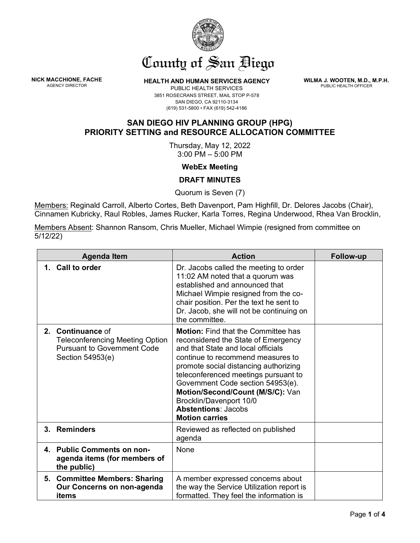

## County of San Biego

**NICK MACCHIONE, FACHE**<br>AGENCY DIRECTOR

**HEALTH AND HUMAN SERVICES AGENCY** 

**WILMA J. WOOTEN, M.D., M.P.H.** PUBLIC HEALTH OFFICER

PUBLIC HEALTH SERVICES 3851 ROSECRANS STREET, MAIL STOP P-578 SAN DIEGO, CA 92110-3134 (619) 531-5800 • FAX (619) 542-4186

## **SAN DIEGO HIV PLANNING GROUP (HPG) PRIORITY SETTING and RESOURCE ALLOCATION COMMITTEE**

Thursday, May 12, 2022 3:00 PM – 5:00 PM

**WebEx Meeting**

## **DRAFT MINUTES**

Quorum is Seven (7)

Members: Reginald Carroll, Alberto Cortes, Beth Davenport, Pam Highfill, Dr. Delores Jacobs (Chair), Cinnamen Kubricky, Raul Robles, James Rucker, Karla Torres, Regina Underwood, Rhea Van Brocklin,

Members Absent: Shannon Ransom, Chris Mueller, Michael Wimpie (resigned from committee on 5/12/22)

| <b>Agenda Item</b> |                                                                                                                       | <b>Action</b>                                                                                                                                                                                                                                                                                                                                                                                            | Follow-up |
|--------------------|-----------------------------------------------------------------------------------------------------------------------|----------------------------------------------------------------------------------------------------------------------------------------------------------------------------------------------------------------------------------------------------------------------------------------------------------------------------------------------------------------------------------------------------------|-----------|
|                    | 1. Call to order                                                                                                      | Dr. Jacobs called the meeting to order<br>11:02 AM noted that a quorum was<br>established and announced that<br>Michael Wimpie resigned from the co-<br>chair position. Per the text he sent to<br>Dr. Jacob, she will not be continuing on<br>the committee.                                                                                                                                            |           |
|                    | 2. Continuance of<br><b>Teleconferencing Meeting Option</b><br><b>Pursuant to Government Code</b><br>Section 54953(e) | <b>Motion:</b> Find that the Committee has<br>reconsidered the State of Emergency<br>and that State and local officials<br>continue to recommend measures to<br>promote social distancing authorizing<br>teleconferenced meetings pursuant to<br>Government Code section 54953(e).<br>Motion/Second/Count (M/S/C): Van<br>Brocklin/Davenport 10/0<br><b>Abstentions: Jacobs</b><br><b>Motion carries</b> |           |
|                    | 3. Reminders                                                                                                          | Reviewed as reflected on published<br>agenda                                                                                                                                                                                                                                                                                                                                                             |           |
|                    | 4. Public Comments on non-<br>agenda items (for members of<br>the public)                                             | None                                                                                                                                                                                                                                                                                                                                                                                                     |           |
|                    | 5. Committee Members: Sharing<br>Our Concerns on non-agenda<br>items                                                  | A member expressed concerns about<br>the way the Service Utilization report is<br>formatted. They feel the information is                                                                                                                                                                                                                                                                                |           |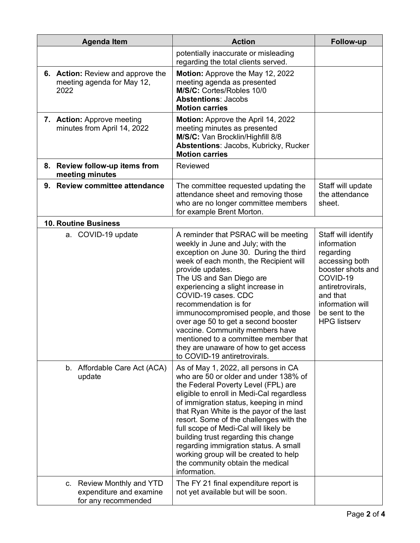| <b>Agenda Item</b>                                                             | <b>Action</b>                                                                                                                                                                                                                                                                                                                                                                                                                                                                                                                         | Follow-up                                                                                                                                                                                       |
|--------------------------------------------------------------------------------|---------------------------------------------------------------------------------------------------------------------------------------------------------------------------------------------------------------------------------------------------------------------------------------------------------------------------------------------------------------------------------------------------------------------------------------------------------------------------------------------------------------------------------------|-------------------------------------------------------------------------------------------------------------------------------------------------------------------------------------------------|
|                                                                                | potentially inaccurate or misleading<br>regarding the total clients served.                                                                                                                                                                                                                                                                                                                                                                                                                                                           |                                                                                                                                                                                                 |
| <b>6. Action:</b> Review and approve the<br>meeting agenda for May 12,<br>2022 | Motion: Approve the May 12, 2022<br>meeting agenda as presented<br>M/S/C: Cortes/Robles 10/0<br><b>Abstentions: Jacobs</b><br><b>Motion carries</b>                                                                                                                                                                                                                                                                                                                                                                                   |                                                                                                                                                                                                 |
| 7. Action: Approve meeting<br>minutes from April 14, 2022                      | Motion: Approve the April 14, 2022<br>meeting minutes as presented<br>M/S/C: Van Brocklin/Highfill 8/8<br>Abstentions: Jacobs, Kubricky, Rucker<br><b>Motion carries</b>                                                                                                                                                                                                                                                                                                                                                              |                                                                                                                                                                                                 |
| 8. Review follow-up items from<br>meeting minutes                              | Reviewed                                                                                                                                                                                                                                                                                                                                                                                                                                                                                                                              |                                                                                                                                                                                                 |
| 9. Review committee attendance                                                 | The committee requested updating the<br>attendance sheet and removing those<br>who are no longer committee members<br>for example Brent Morton.                                                                                                                                                                                                                                                                                                                                                                                       | Staff will update<br>the attendance<br>sheet.                                                                                                                                                   |
| <b>10. Routine Business</b>                                                    |                                                                                                                                                                                                                                                                                                                                                                                                                                                                                                                                       |                                                                                                                                                                                                 |
| a. COVID-19 update                                                             | A reminder that PSRAC will be meeting<br>weekly in June and July; with the<br>exception on June 30. During the third<br>week of each month, the Recipient will<br>provide updates.<br>The US and San Diego are<br>experiencing a slight increase in<br>COVID-19 cases. CDC<br>recommendation is for<br>immunocompromised people, and those<br>over age 50 to get a second booster<br>vaccine. Community members have<br>mentioned to a committee member that<br>they are unaware of how to get access<br>to COVID-19 antiretrovirals. | Staff will identify<br>information<br>regarding<br>accessing both<br>booster shots and<br>COVID-19<br>antiretrovirals,<br>and that<br>information will<br>be sent to the<br><b>HPG listserv</b> |
| b. Affordable Care Act (ACA)<br>update                                         | As of May 1, 2022, all persons in CA<br>who are 50 or older and under 138% of<br>the Federal Poverty Level (FPL) are<br>eligible to enroll in Medi-Cal regardless<br>of immigration status, keeping in mind<br>that Ryan White is the payor of the last<br>resort. Some of the challenges with the<br>full scope of Medi-Cal will likely be<br>building trust regarding this change<br>regarding immigration status. A small<br>working group will be created to help<br>the community obtain the medical<br>information.             |                                                                                                                                                                                                 |
| c. Review Monthly and YTD<br>expenditure and examine<br>for any recommended    | The FY 21 final expenditure report is<br>not yet available but will be soon.                                                                                                                                                                                                                                                                                                                                                                                                                                                          |                                                                                                                                                                                                 |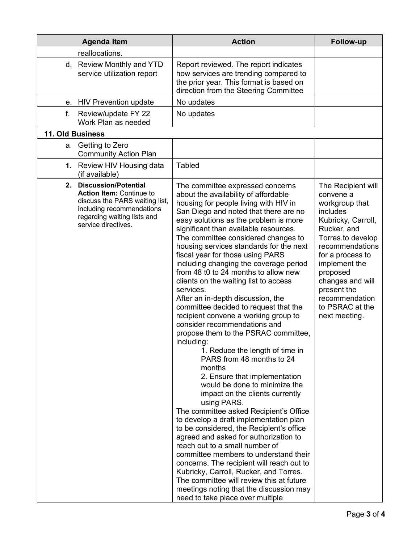|    | <b>Agenda Item</b>                                                                                                                                                              | <b>Action</b>                                                                                                                                                                                                                                                                                                                                                                                                                                                                                                                                                                                                                                                                                                                                                                                                                                                                                                                                                                                                                                                                                                                                                                                                                                                                                                                                                                              | Follow-up                                                                                                                                                                                                                                                                            |
|----|---------------------------------------------------------------------------------------------------------------------------------------------------------------------------------|--------------------------------------------------------------------------------------------------------------------------------------------------------------------------------------------------------------------------------------------------------------------------------------------------------------------------------------------------------------------------------------------------------------------------------------------------------------------------------------------------------------------------------------------------------------------------------------------------------------------------------------------------------------------------------------------------------------------------------------------------------------------------------------------------------------------------------------------------------------------------------------------------------------------------------------------------------------------------------------------------------------------------------------------------------------------------------------------------------------------------------------------------------------------------------------------------------------------------------------------------------------------------------------------------------------------------------------------------------------------------------------------|--------------------------------------------------------------------------------------------------------------------------------------------------------------------------------------------------------------------------------------------------------------------------------------|
|    | reallocations.                                                                                                                                                                  |                                                                                                                                                                                                                                                                                                                                                                                                                                                                                                                                                                                                                                                                                                                                                                                                                                                                                                                                                                                                                                                                                                                                                                                                                                                                                                                                                                                            |                                                                                                                                                                                                                                                                                      |
|    | d. Review Monthly and YTD<br>service utilization report                                                                                                                         | Report reviewed. The report indicates<br>how services are trending compared to<br>the prior year. This format is based on<br>direction from the Steering Committee                                                                                                                                                                                                                                                                                                                                                                                                                                                                                                                                                                                                                                                                                                                                                                                                                                                                                                                                                                                                                                                                                                                                                                                                                         |                                                                                                                                                                                                                                                                                      |
| е. | <b>HIV Prevention update</b>                                                                                                                                                    | No updates                                                                                                                                                                                                                                                                                                                                                                                                                                                                                                                                                                                                                                                                                                                                                                                                                                                                                                                                                                                                                                                                                                                                                                                                                                                                                                                                                                                 |                                                                                                                                                                                                                                                                                      |
| f. | Review/update FY 22<br>Work Plan as needed                                                                                                                                      | No updates                                                                                                                                                                                                                                                                                                                                                                                                                                                                                                                                                                                                                                                                                                                                                                                                                                                                                                                                                                                                                                                                                                                                                                                                                                                                                                                                                                                 |                                                                                                                                                                                                                                                                                      |
|    | 11. Old Business                                                                                                                                                                |                                                                                                                                                                                                                                                                                                                                                                                                                                                                                                                                                                                                                                                                                                                                                                                                                                                                                                                                                                                                                                                                                                                                                                                                                                                                                                                                                                                            |                                                                                                                                                                                                                                                                                      |
|    | a. Getting to Zero<br><b>Community Action Plan</b>                                                                                                                              |                                                                                                                                                                                                                                                                                                                                                                                                                                                                                                                                                                                                                                                                                                                                                                                                                                                                                                                                                                                                                                                                                                                                                                                                                                                                                                                                                                                            |                                                                                                                                                                                                                                                                                      |
|    | 1. Review HIV Housing data<br>(if available)                                                                                                                                    | <b>Tabled</b>                                                                                                                                                                                                                                                                                                                                                                                                                                                                                                                                                                                                                                                                                                                                                                                                                                                                                                                                                                                                                                                                                                                                                                                                                                                                                                                                                                              |                                                                                                                                                                                                                                                                                      |
|    | 2. Discussion/Potential<br><b>Action Item: Continue to</b><br>discuss the PARS waiting list,<br>including recommendations<br>regarding waiting lists and<br>service directives. | The committee expressed concerns<br>about the availability of affordable<br>housing for people living with HIV in<br>San Diego and noted that there are no<br>easy solutions as the problem is more<br>significant than available resources.<br>The committee considered changes to<br>housing services standards for the next<br>fiscal year for those using PARS<br>including changing the coverage period<br>from 48 t0 to 24 months to allow new<br>clients on the waiting list to access<br>services.<br>After an in-depth discussion, the<br>committee decided to request that the<br>recipient convene a working group to<br>consider recommendations and<br>propose them to the PSRAC committee,<br>including:<br>1. Reduce the length of time in<br>PARS from 48 months to 24<br>months<br>2. Ensure that implementation<br>would be done to minimize the<br>impact on the clients currently<br>using PARS.<br>The committee asked Recipient's Office<br>to develop a draft implementation plan<br>to be considered, the Recipient's office<br>agreed and asked for authorization to<br>reach out to a small number of<br>committee members to understand their<br>concerns. The recipient will reach out to<br>Kubricky, Carroll, Rucker, and Torres.<br>The committee will review this at future<br>meetings noting that the discussion may<br>need to take place over multiple | The Recipient will<br>convene a<br>workgroup that<br>includes<br>Kubricky, Carroll,<br>Rucker, and<br>Torres.to develop<br>recommendations<br>for a process to<br>implement the<br>proposed<br>changes and will<br>present the<br>recommendation<br>to PSRAC at the<br>next meeting. |